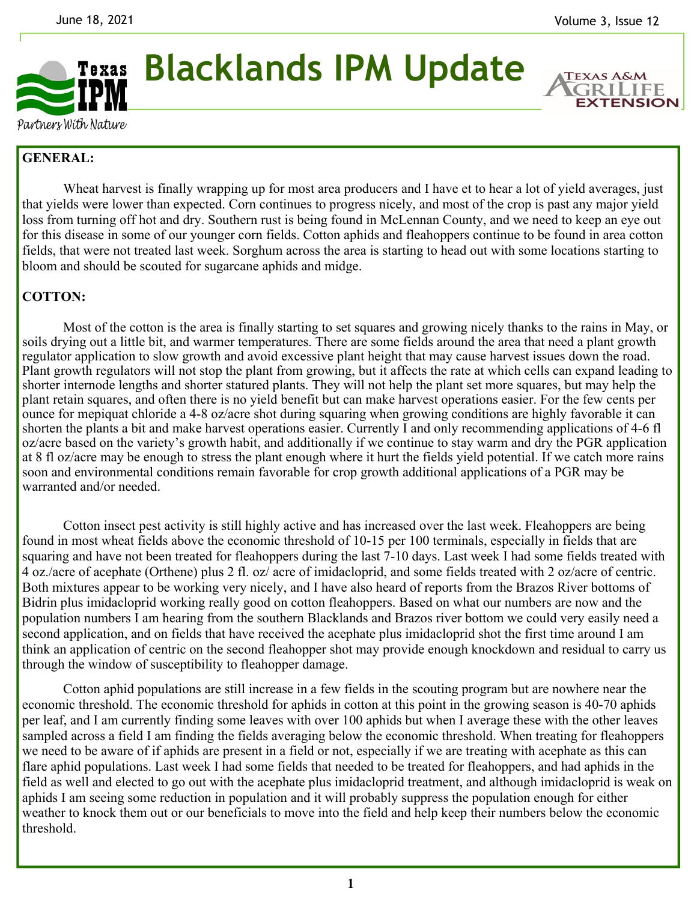

**Blacklands IPM Update** 

**TEXAS A&M** GRI **EXTENSION** 

Partners With Nature

## **GENERAL:**

Wheat harvest is finally wrapping up for most area producers and I have et to hear a lot of yield averages, just that yields were lower than expected. Corn continues to progress nicely, and most of the crop is past any major yield loss from turning off hot and dry. Southern rust is being found in McLennan County, and we need to keep an eye out for this disease in some of our younger corn fields. Cotton aphids and fleahoppers continue to be found in area cotton fields, that were not treated last week. Sorghum across the area is starting to head out with some locations starting to bloom and should be scouted for sugarcane aphids and midge.

## **COTTON:**

Most of the cotton is the area is finally starting to set squares and growing nicely thanks to the rains in May, or soils drying out a little bit, and warmer temperatures. There are some fields around the area that need a plant growth regulator application to slow growth and avoid excessive plant height that may cause harvest issues down the road. Plant growth regulators will not stop the plant from growing, but it affects the rate at which cells can expand leading to shorter internode lengths and shorter statured plants. They will not help the plant set more squares, but may help the plant retain squares, and often there is no yield benefit but can make harvest operations easier. For the few cents per ounce for mepiquat chloride a 4-8 oz/acre shot during squaring when growing conditions are highly favorable it can shorten the plants a bit and make harvest operations easier. Currently I and only recommending applications of 4-6 fl oz/acre based on the variety's growth habit, and additionally if we continue to stay warm and dry the PGR application at 8 fl oz/acre may be enough to stress the plant enough where it hurt the fields yield potential. If we catch more rains soon and environmental conditions remain favorable for crop growth additional applications of a PGR may be warranted and/or needed.

 Cotton insect pest activity is still highly active and has increased over the last week. Fleahoppers are being found in most wheat fields above the economic threshold of 10-15 per 100 terminals, especially in fields that are squaring and have not been treated for fleahoppers during the last 7-10 days. Last week I had some fields treated with 4 oz./acre of acephate (Orthene) plus 2 fl. oz/ acre of imidacloprid, and some fields treated with 2 oz/acre of centric. Both mixtures appear to be working very nicely, and I have also heard of reports from the Brazos River bottoms of Bidrin plus imidacloprid working really good on cotton fleahoppers. Based on what our numbers are now and the population numbers I am hearing from the southern Blacklands and Brazos river bottom we could very easily need a second application, and on fields that have received the acephate plus imidacloprid shot the first time around I am think an application of centric on the second fleahopper shot may provide enough knockdown and residual to carry us through the window of susceptibility to fleahopper damage.

 Cotton aphid populations are still increase in a few fields in the scouting program but are nowhere near the economic threshold. The economic threshold for aphids in cotton at this point in the growing season is 40-70 aphids per leaf, and I am currently finding some leaves with over 100 aphids but when I average these with the other leaves sampled across a field I am finding the fields averaging below the economic threshold. When treating for fleahoppers we need to be aware of if aphids are present in a field or not, especially if we are treating with acephate as this can flare aphid populations. Last week I had some fields that needed to be treated for fleahoppers, and had aphids in the field as well and elected to go out with the acephate plus imidacloprid treatment, and although imidacloprid is weak on aphids I am seeing some reduction in population and it will probably suppress the population enough for either weather to knock them out or our beneficials to move into the field and help keep their numbers below the economic threshold.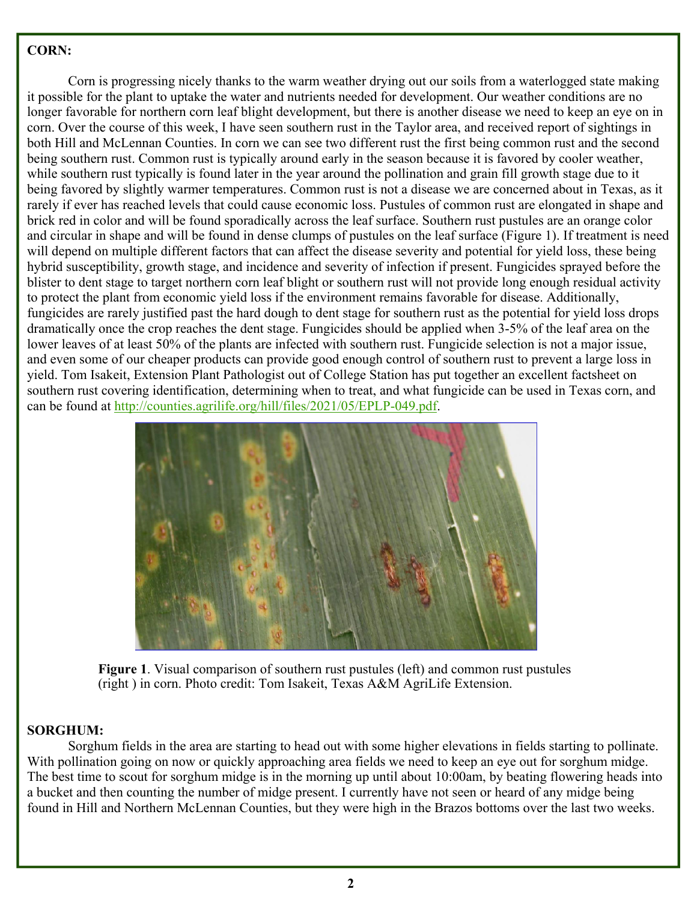## **CORN:**

Corn is progressing nicely thanks to the warm weather drying out our soils from a waterlogged state making it possible for the plant to uptake the water and nutrients needed for development. Our weather conditions are no longer favorable for northern corn leaf blight development, but there is another disease we need to keep an eye on in corn. Over the course of this week, I have seen southern rust in the Taylor area, and received report of sightings in both Hill and McLennan Counties. In corn we can see two different rust the first being common rust and the second being southern rust. Common rust is typically around early in the season because it is favored by cooler weather, while southern rust typically is found later in the year around the pollination and grain fill growth stage due to it being favored by slightly warmer temperatures. Common rust is not a disease we are concerned about in Texas, as it rarely if ever has reached levels that could cause economic loss. Pustules of common rust are elongated in shape and brick red in color and will be found sporadically across the leaf surface. Southern rust pustules are an orange color and circular in shape and will be found in dense clumps of pustules on the leaf surface (Figure 1). If treatment is need will depend on multiple different factors that can affect the disease severity and potential for yield loss, these being hybrid susceptibility, growth stage, and incidence and severity of infection if present. Fungicides sprayed before the blister to dent stage to target northern corn leaf blight or southern rust will not provide long enough residual activity to protect the plant from economic yield loss if the environment remains favorable for disease. Additionally, fungicides are rarely justified past the hard dough to dent stage for southern rust as the potential for yield loss drops dramatically once the crop reaches the dent stage. Fungicides should be applied when 3-5% of the leaf area on the lower leaves of at least 50% of the plants are infected with southern rust. Fungicide selection is not a major issue, and even some of our cheaper products can provide good enough control of southern rust to prevent a large loss in yield. Tom Isakeit, Extension Plant Pathologist out of College Station has put together an excellent factsheet on southern rust covering identification, determining when to treat, and what fungicide can be used in Texas corn, and can be found at http://counties.agrilife.org/hill/files/2021/05/EPLP-049.pdf.



**Figure 1**. Visual comparison of southern rust pustules (left) and common rust pustules (right ) in corn. Photo credit: Tom Isakeit, Texas A&M AgriLife Extension.

## **SORGHUM:**

 Sorghum fields in the area are starting to head out with some higher elevations in fields starting to pollinate. With pollination going on now or quickly approaching area fields we need to keep an eye out for sorghum midge. The best time to scout for sorghum midge is in the morning up until about 10:00am, by beating flowering heads into a bucket and then counting the number of midge present. I currently have not seen or heard of any midge being found in Hill and Northern McLennan Counties, but they were high in the Brazos bottoms over the last two weeks.